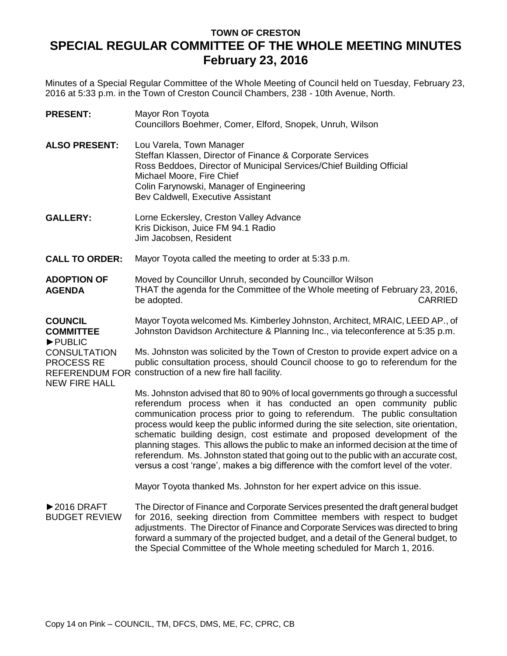## **TOWN OF CRESTON SPECIAL REGULAR COMMITTEE OF THE WHOLE MEETING MINUTES February 23, 2016**

Minutes of a Special Regular Committee of the Whole Meeting of Council held on Tuesday, February 23, 2016 at 5:33 p.m. in the Town of Creston Council Chambers, 238 - 10th Avenue, North.

| <b>PRESENT:</b>                                                  | Mayor Ron Toyota<br>Councillors Boehmer, Comer, Elford, Snopek, Unruh, Wilson                                                                                                                                                                                                                                                                                                                                                                                                                                                                                                                                                                                               |
|------------------------------------------------------------------|-----------------------------------------------------------------------------------------------------------------------------------------------------------------------------------------------------------------------------------------------------------------------------------------------------------------------------------------------------------------------------------------------------------------------------------------------------------------------------------------------------------------------------------------------------------------------------------------------------------------------------------------------------------------------------|
| <b>ALSO PRESENT:</b>                                             | Lou Varela, Town Manager<br>Steffan Klassen, Director of Finance & Corporate Services<br>Ross Beddoes, Director of Municipal Services/Chief Building Official<br>Michael Moore, Fire Chief<br>Colin Farynowski, Manager of Engineering<br>Bev Caldwell, Executive Assistant                                                                                                                                                                                                                                                                                                                                                                                                 |
| <b>GALLERY:</b>                                                  | Lorne Eckersley, Creston Valley Advance<br>Kris Dickison, Juice FM 94.1 Radio<br>Jim Jacobsen, Resident                                                                                                                                                                                                                                                                                                                                                                                                                                                                                                                                                                     |
| <b>CALL TO ORDER:</b>                                            | Mayor Toyota called the meeting to order at 5:33 p.m.                                                                                                                                                                                                                                                                                                                                                                                                                                                                                                                                                                                                                       |
| <b>ADOPTION OF</b><br><b>AGENDA</b>                              | Moved by Councillor Unruh, seconded by Councillor Wilson<br>THAT the agenda for the Committee of the Whole meeting of February 23, 2016,<br><b>CARRIED</b><br>be adopted.                                                                                                                                                                                                                                                                                                                                                                                                                                                                                                   |
| <b>COUNCIL</b><br><b>COMMITTEE</b><br>PUBLIC                     | Mayor Toyota welcomed Ms. Kimberley Johnston, Architect, MRAIC, LEED AP., of<br>Johnston Davidson Architecture & Planning Inc., via teleconference at 5:35 p.m.                                                                                                                                                                                                                                                                                                                                                                                                                                                                                                             |
| <b>CONSULTATION</b><br><b>PROCESS RE</b><br><b>NEW FIRE HALL</b> | Ms. Johnston was solicited by the Town of Creston to provide expert advice on a<br>public consultation process, should Council choose to go to referendum for the<br>REFERENDUM FOR construction of a new fire hall facility.                                                                                                                                                                                                                                                                                                                                                                                                                                               |
|                                                                  | Ms. Johnston advised that 80 to 90% of local governments go through a successful<br>referendum process when it has conducted an open community public<br>communication process prior to going to referendum. The public consultation<br>process would keep the public informed during the site selection, site orientation,<br>schematic building design, cost estimate and proposed development of the<br>planning stages. This allows the public to make an informed decision at the time of<br>referendum. Ms. Johnston stated that going out to the public with an accurate cost,<br>versus a cost 'range', makes a big difference with the comfort level of the voter. |
|                                                                  | Mayor Toyota thanked Ms. Johnston for her expert advice on this issue.                                                                                                                                                                                                                                                                                                                                                                                                                                                                                                                                                                                                      |
| $\triangleright$ 2016 DRAFT<br><b>BUDGET REVIEW</b>              | The Director of Finance and Corporate Services presented the draft general budget<br>for 2016, seeking direction from Committee members with respect to budget<br>adjustments. The Director of Finance and Corporate Services was directed to bring<br>forward a summary of the projected budget, and a detail of the General budget, to<br>the Special Committee of the Whole meeting scheduled for March 1, 2016.                                                                                                                                                                                                                                                         |